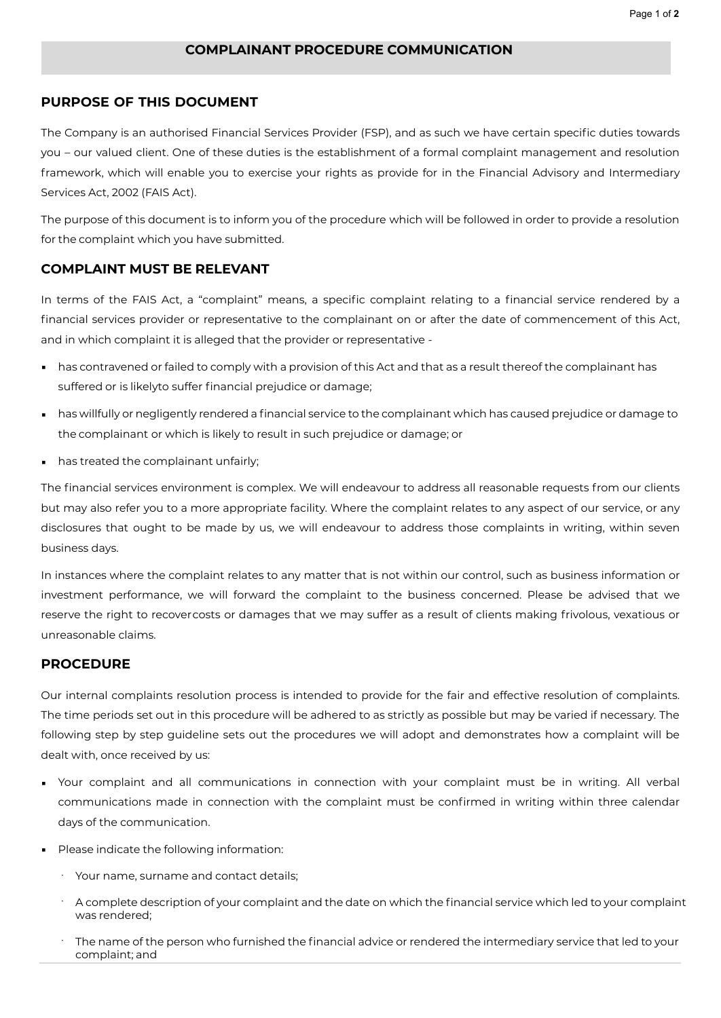## **COMPLAINANT PROCEDURE COMMUNICATION**

## **PURPOSE OF THIS DOCUMENT**

The Company is an authorised Financial Services Provider (FSP), and as such we have certain specific duties towards you – our valued client. One of these duties is the establishment of a formal complaint management and resolution framework, which will enable you to exercise your rights as provide for in the Financial Advisory and Intermediary Services Act, 2002 (FAIS Act).

The purpose of this document is to inform you of the procedure which will be followed in order to provide a resolution for the complaint which you have submitted.

## **COMPLAINT MUST BE RELEVANT**

In terms of the FAIS Act, a "complaint" means, a specific complaint relating to a financial service rendered by a financial services provider or representative to the complainant on or after the date of commencement of this Act, and in which complaint it is alleged that the provider or representative -

- has contravened or failed to comply with a provision of this Act and that as a result thereof the complainant has suffered or is likelyto suffer financial prejudice or damage;
- has willfully or negligently rendered a financial service to the complainant which has caused prejudice or damage to the complainant or which is likely to result in such prejudice or damage; or
- has treated the complainant unfairly;

The financial services environment is complex. We will endeavour to address all reasonable requests from our clients but may also refer you to a more appropriate facility. Where the complaint relates to any aspect of our service, or any disclosures that ought to be made by us, we will endeavour to address those complaints in writing, within seven business days.

In instances where the complaint relates to any matter that is not within our control, such as business information or investment performance, we will forward the complaint to the business concerned. Please be advised that we reserve the right to recovercosts or damages that we may suffer as a result of clients making frivolous, vexatious or unreasonable claims.

## **PROCEDURE**

Our internal complaints resolution process is intended to provide for the fair and effective resolution of complaints. The time periods set out in this procedure will be adhered to as strictly as possible but may be varied if necessary. The following step by step guideline sets out the procedures we will adopt and demonstrates how a complaint will be dealt with, once received by us:

- Your complaint and all communications in connection with your complaint must be in writing. All verbal communications made in connection with the complaint must be confirmed in writing within three calendar days of the communication.
- Please indicate the following information:
	- · Your name, surname and contact details;
	- · A complete description of your complaint and the date on which the financial service which led to your complaint was rendered;
	- The name of the person who furnished the financial advice or rendered the intermediary service that led to your complaint; and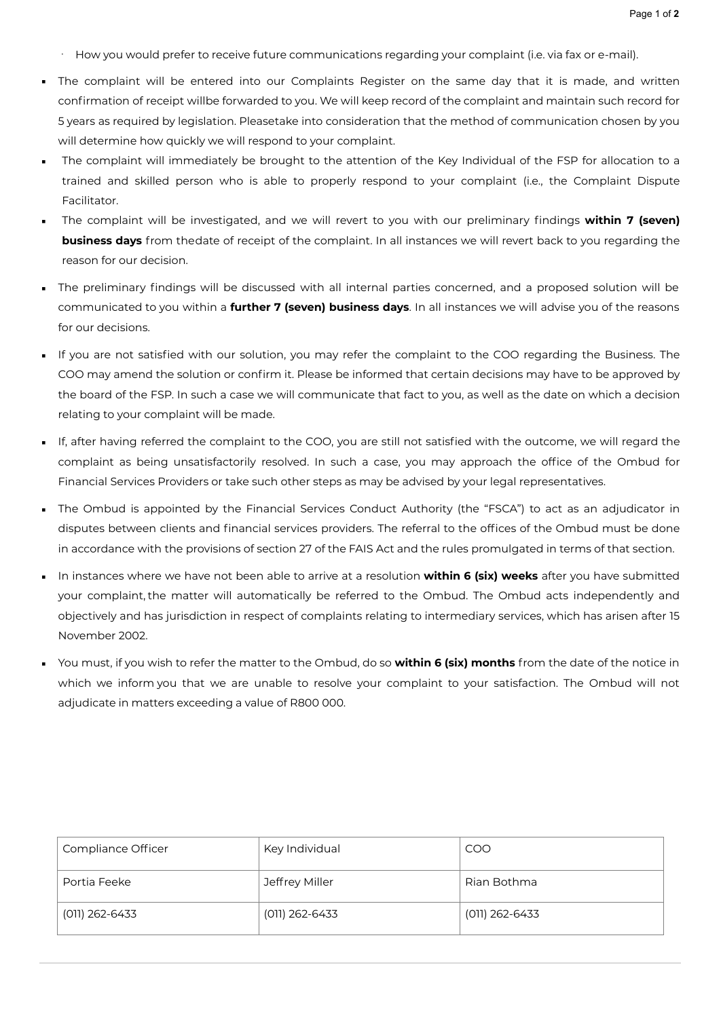- · How you would prefer to receive future communications regarding your complaint (i.e. via fax or e-mail).
- The complaint will be entered into our Complaints Register on the same day that it is made, and written confirmation of receipt willbe forwarded to you. We will keep record of the complaint and maintain such record for 5 years as required by legislation. Pleasetake into consideration that the method of communication chosen by you will determine how quickly we will respond to your complaint.
- The complaint will immediately be brought to the attention of the Key Individual of the FSP for allocation to a trained and skilled person who is able to properly respond to your complaint (i.e., the Complaint Dispute Facilitator.
- The complaint will be investigated, and we will revert to you with our preliminary findings **within 7 (seven) business days** from thedate of receipt of the complaint. In all instances we will revert back to you regarding the reason for our decision.
- The preliminary findings will be discussed with all internal parties concerned, and a proposed solution will be communicated to you within a **further 7 (seven) business days**. In all instances we will advise you of the reasons for our decisions.
- If you are not satisfied with our solution, you may refer the complaint to the COO regarding the Business. The COO may amend the solution or confirm it. Please be informed that certain decisions may have to be approved by the board of the FSP. In such a case we will communicate that fact to you, as well as the date on which a decision relating to your complaint will be made.
- If, after having referred the complaint to the COO, you are still not satisfied with the outcome, we will regard the complaint as being unsatisfactorily resolved. In such a case, you may approach the office of the Ombud for Financial Services Providers or take such other steps as may be advised by your legal representatives.
- The Ombud is appointed by the Financial Services Conduct Authority (the "FSCA") to act as an adjudicator in disputes between clients and financial services providers. The referral to the offices of the Ombud must be done in accordance with the provisions of section 27 of the FAIS Act and the rules promulgated in terms of that section.
- In instances where we have not been able to arrive at a resolution **within 6 (six) weeks** after you have submitted your complaint, the matter will automatically be referred to the Ombud. The Ombud acts independently and objectively and has jurisdiction in respect of complaints relating to intermediary services, which has arisen after 15 November 2002.
- You must, if you wish to refer the matter to the Ombud, do so **within 6 (six) months** from the date of the notice in which we inform you that we are unable to resolve your complaint to your satisfaction. The Ombud will not adjudicate in matters exceeding a value of R800 000.

| Compliance Officer | Key Individual | <b>COO</b>       |
|--------------------|----------------|------------------|
| Portia Feeke       | Jeffrey Miller | Rian Bothma      |
| (011) 262-6433     | (011) 262-6433 | $(011)$ 262-6433 |